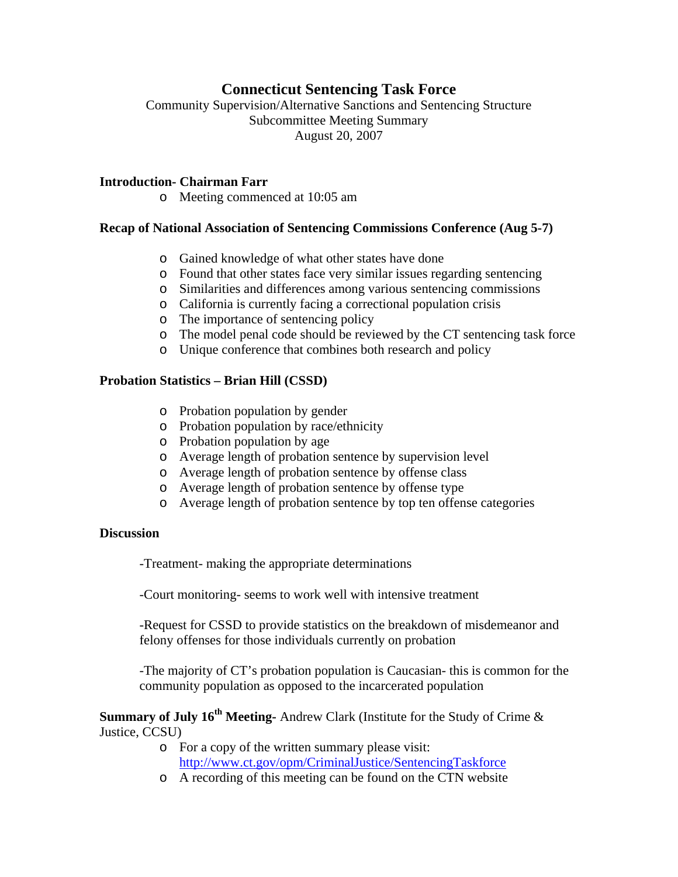# **Connecticut Sentencing Task Force**

Community Supervision/Alternative Sanctions and Sentencing Structure Subcommittee Meeting Summary August 20, 2007

#### **Introduction- Chairman Farr**

o Meeting commenced at 10:05 am

### **Recap of National Association of Sentencing Commissions Conference (Aug 5-7)**

- o Gained knowledge of what other states have done
- o Found that other states face very similar issues regarding sentencing
- o Similarities and differences among various sentencing commissions
- o California is currently facing a correctional population crisis
- o The importance of sentencing policy
- o The model penal code should be reviewed by the CT sentencing task force
- o Unique conference that combines both research and policy

### **Probation Statistics – Brian Hill (CSSD)**

- o Probation population by gender
- o Probation population by race/ethnicity
- o Probation population by age
- o Average length of probation sentence by supervision level
- o Average length of probation sentence by offense class
- o Average length of probation sentence by offense type
- o Average length of probation sentence by top ten offense categories

#### **Discussion**

-Treatment- making the appropriate determinations

-Court monitoring- seems to work well with intensive treatment

-Request for CSSD to provide statistics on the breakdown of misdemeanor and felony offenses for those individuals currently on probation

-The majority of CT's probation population is Caucasian- this is common for the community population as opposed to the incarcerated population

**Summary of July 16th Meeting-** Andrew Clark (Institute for the Study of Crime & Justice, CCSU)

- o For a copy of the written summary please visit: <http://www.ct.gov/opm/CriminalJustice/SentencingTaskforce>
- o A recording of this meeting can be found on the CTN website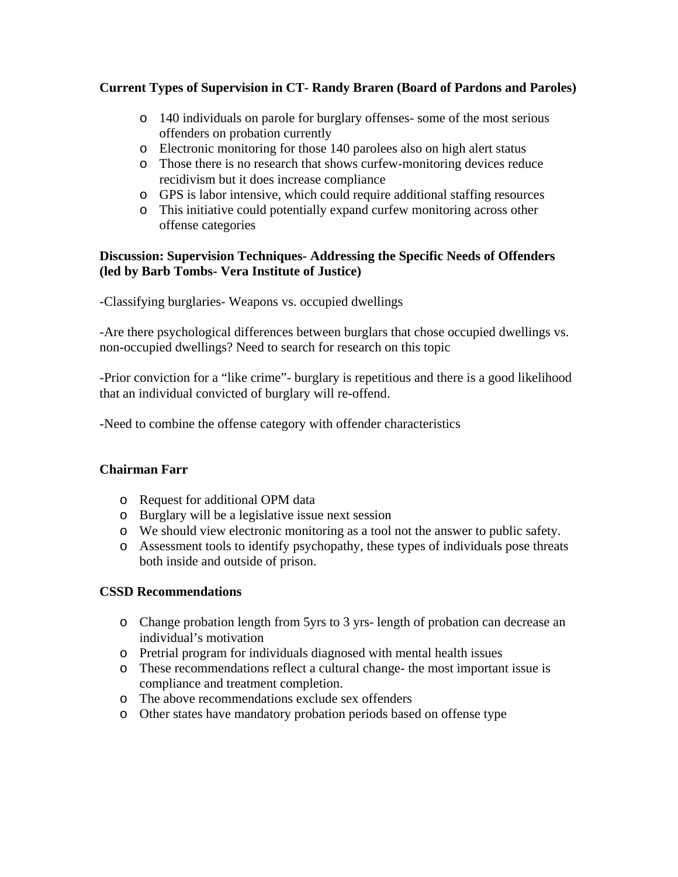## **Current Types of Supervision in CT- Randy Braren (Board of Pardons and Paroles)**

- o 140 individuals on parole for burglary offenses- some of the most serious offenders on probation currently
- o Electronic monitoring for those 140 parolees also on high alert status
- o Those there is no research that shows curfew-monitoring devices reduce recidivism but it does increase compliance
- o GPS is labor intensive, which could require additional staffing resources
- o This initiative could potentially expand curfew monitoring across other offense categories

## **Discussion: Supervision Techniques- Addressing the Specific Needs of Offenders (led by Barb Tombs- Vera Institute of Justice)**

-Classifying burglaries- Weapons vs. occupied dwellings

-Are there psychological differences between burglars that chose occupied dwellings vs. non-occupied dwellings? Need to search for research on this topic

-Prior conviction for a "like crime"- burglary is repetitious and there is a good likelihood that an individual convicted of burglary will re-offend.

-Need to combine the offense category with offender characteristics

## **Chairman Farr**

- o Request for additional OPM data
- o Burglary will be a legislative issue next session
- o We should view electronic monitoring as a tool not the answer to public safety.
- o Assessment tools to identify psychopathy, these types of individuals pose threats both inside and outside of prison.

## **CSSD Recommendations**

- o Change probation length from 5yrs to 3 yrs- length of probation can decrease an individual's motivation
- o Pretrial program for individuals diagnosed with mental health issues
- o These recommendations reflect a cultural change- the most important issue is compliance and treatment completion.
- o The above recommendations exclude sex offenders
- o Other states have mandatory probation periods based on offense type